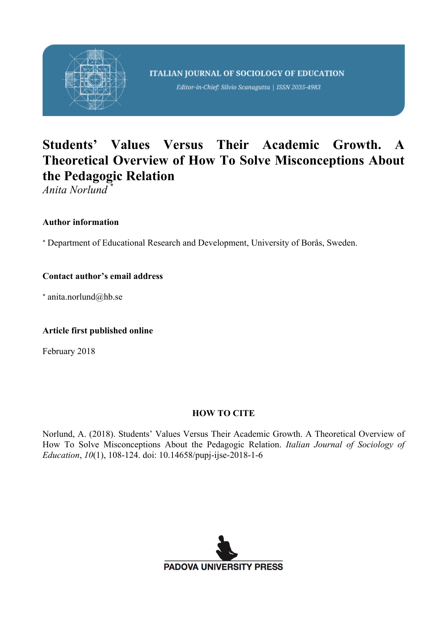

Editor-in-Chief: Silvio Scanagatta | ISSN 2035-4983

# **Students' Values Versus Their Academic Growth. A Theoretical Overview of How To Solve Misconceptions About the Pedagogic Relation**

*Anita Norlund* \*

### **Author information**

\* Department of Educational Research and Development, University of Borås, Sweden.

### **Contact author's email address**

\* anita.norlund@hb.se

### **Article first published online**

February 2018

### **HOW TO CITE**

Norlund, A. (2018). Students' Values Versus Their Academic Growth. A Theoretical Overview of How To Solve Misconceptions About the Pedagogic Relation. *Italian Journal of Sociology of Education*, *10*(1), 108-124. doi: 10.14658/pupj-ijse-2018-1-6

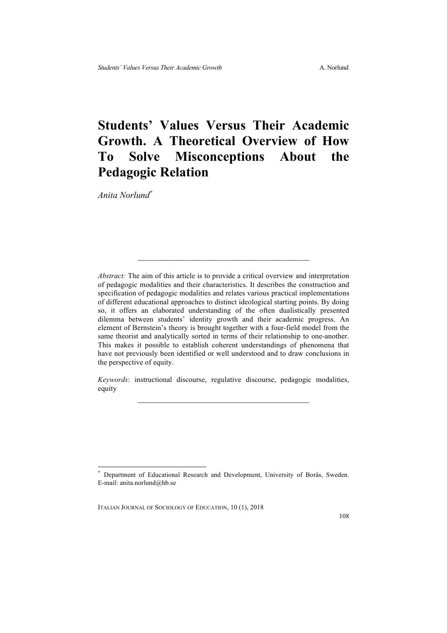## **Students' Values Versus Their Academic Growth. A Theoretical Overview of How To Solve Misconceptions About the Pedagogic Relation**

*Anita Norlund\**

*Abstract:* The aim of this article is to provide a critical overview and interpretation of pedagogic modalities and their characteristics. It describes the construction and specification of pedagogic modalities and relates various practical implementations of different educational approaches to distinct ideological starting points. By doing so, it offers an elaborated understanding of the often dualistically presented dilemma between students' identity growth and their academic progress. An element of Bernstein's theory is brought together with a four-field model from the same theorist and analytically sorted in terms of their relationship to one-another. This makes it possible to establish coherent understandings of phenomena that have not previously been identified or well understood and to draw conclusions in the perspective of equity.

*Keywords*: instructional discourse, regulative discourse, pedagogic modalities, equity  $\mathcal{L}_\text{max}$ 

Department of Educational Research and Development, University of Borås, Sweden. E-mail: anita.norlund@hb.se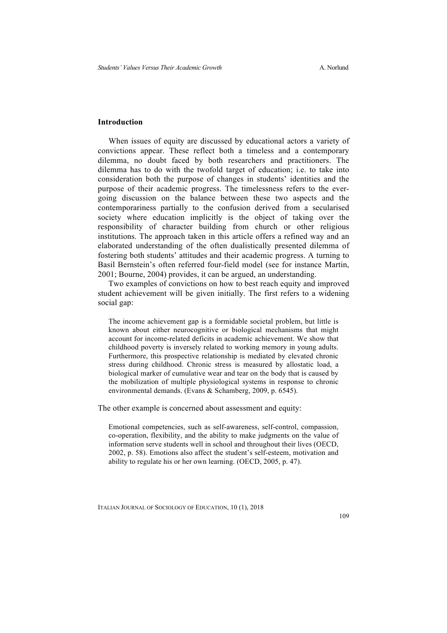#### **Introduction**

When issues of equity are discussed by educational actors a variety of convictions appear. These reflect both a timeless and a contemporary dilemma, no doubt faced by both researchers and practitioners. The dilemma has to do with the twofold target of education; i.e. to take into consideration both the purpose of changes in students' identities and the purpose of their academic progress. The timelessness refers to the evergoing discussion on the balance between these two aspects and the contemporariness partially to the confusion derived from a secularised society where education implicitly is the object of taking over the responsibility of character building from church or other religious institutions. The approach taken in this article offers a refined way and an elaborated understanding of the often dualistically presented dilemma of fostering both students' attitudes and their academic progress. A turning to Basil Bernstein's often referred four-field model (see for instance Martin, 2001; Bourne, 2004) provides, it can be argued, an understanding.

Two examples of convictions on how to best reach equity and improved student achievement will be given initially. The first refers to a widening social gap:

The income achievement gap is a formidable societal problem, but little is known about either neurocognitive or biological mechanisms that might account for income-related deficits in academic achievement. We show that childhood poverty is inversely related to working memory in young adults. Furthermore, this prospective relationship is mediated by elevated chronic stress during childhood. Chronic stress is measured by allostatic load, a biological marker of cumulative wear and tear on the body that is caused by the mobilization of multiple physiological systems in response to chronic environmental demands. (Evans & Schamberg, 2009, p. 6545).

The other example is concerned about assessment and equity:

Emotional competencies, such as self-awareness, self-control, compassion, co-operation, flexibility, and the ability to make judgments on the value of information serve students well in school and throughout their lives (OECD, 2002, p. 58). Emotions also affect the student's self-esteem, motivation and ability to regulate his or her own learning. (OECD, 2005, p. 47).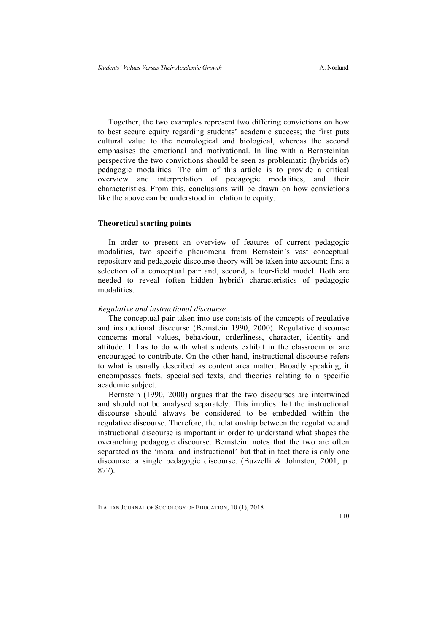Together, the two examples represent two differing convictions on how to best secure equity regarding students' academic success; the first puts cultural value to the neurological and biological, whereas the second emphasises the emotional and motivational. In line with a Bernsteinian perspective the two convictions should be seen as problematic (hybrids of) pedagogic modalities. The aim of this article is to provide a critical overview and interpretation of pedagogic modalities, and their characteristics. From this, conclusions will be drawn on how convictions like the above can be understood in relation to equity.

#### **Theoretical starting points**

In order to present an overview of features of current pedagogic modalities, two specific phenomena from Bernstein's vast conceptual repository and pedagogic discourse theory will be taken into account; first a selection of a conceptual pair and, second, a four-field model. Both are needed to reveal (often hidden hybrid) characteristics of pedagogic modalities.

#### *Regulative and instructional discourse*

The conceptual pair taken into use consists of the concepts of regulative and instructional discourse (Bernstein 1990, 2000). Regulative discourse concerns moral values, behaviour, orderliness, character, identity and attitude. It has to do with what students exhibit in the classroom or are encouraged to contribute. On the other hand, instructional discourse refers to what is usually described as content area matter. Broadly speaking, it encompasses facts, specialised texts, and theories relating to a specific academic subject.

Bernstein (1990, 2000) argues that the two discourses are intertwined and should not be analysed separately. This implies that the instructional discourse should always be considered to be embedded within the regulative discourse. Therefore, the relationship between the regulative and instructional discourse is important in order to understand what shapes the overarching pedagogic discourse. Bernstein: notes that the two are often separated as the 'moral and instructional' but that in fact there is only one discourse: a single pedagogic discourse. (Buzzelli & Johnston, 2001, p. 877).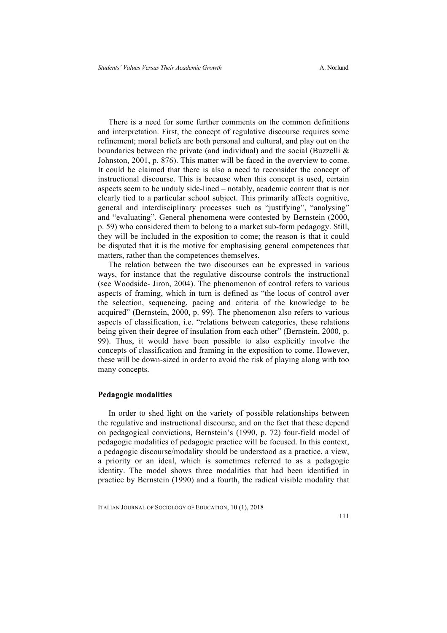There is a need for some further comments on the common definitions and interpretation. First, the concept of regulative discourse requires some refinement; moral beliefs are both personal and cultural, and play out on the boundaries between the private (and individual) and the social (Buzzelli  $\&$ Johnston, 2001, p. 876). This matter will be faced in the overview to come. It could be claimed that there is also a need to reconsider the concept of instructional discourse. This is because when this concept is used, certain aspects seem to be unduly side-lined – notably, academic content that is not clearly tied to a particular school subject. This primarily affects cognitive, general and interdisciplinary processes such as "justifying", "analysing" and "evaluating". General phenomena were contested by Bernstein (2000, p. 59) who considered them to belong to a market sub-form pedagogy. Still, they will be included in the exposition to come; the reason is that it could be disputed that it is the motive for emphasising general competences that matters, rather than the competences themselves.

The relation between the two discourses can be expressed in various ways, for instance that the regulative discourse controls the instructional (see Woodside- Jiron, 2004). The phenomenon of control refers to various aspects of framing, which in turn is defined as "the locus of control over the selection, sequencing, pacing and criteria of the knowledge to be acquired" (Bernstein, 2000, p. 99). The phenomenon also refers to various aspects of classification, i.e. "relations between categories, these relations being given their degree of insulation from each other" (Bernstein, 2000, p. 99). Thus, it would have been possible to also explicitly involve the concepts of classification and framing in the exposition to come. However, these will be down-sized in order to avoid the risk of playing along with too many concepts.

#### **Pedagogic modalities**

In order to shed light on the variety of possible relationships between the regulative and instructional discourse, and on the fact that these depend on pedagogical convictions, Bernstein's (1990, p. 72) four-field model of pedagogic modalities of pedagogic practice will be focused. In this context, a pedagogic discourse/modality should be understood as a practice, a view, a priority or an ideal, which is sometimes referred to as a pedagogic identity. The model shows three modalities that had been identified in practice by Bernstein (1990) and a fourth, the radical visible modality that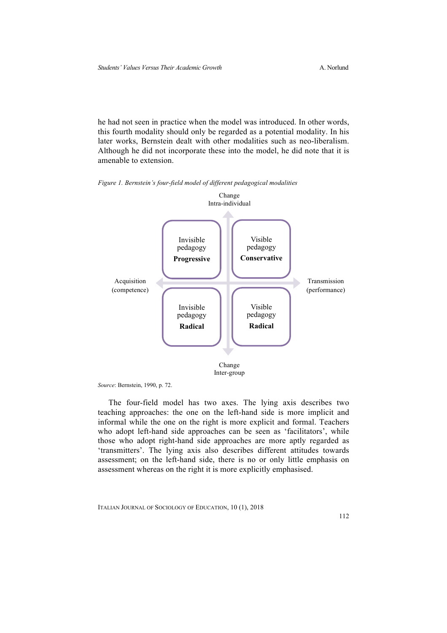he had not seen in practice when the model was introduced. In other words, this fourth modality should only be regarded as a potential modality. In his later works, Bernstein dealt with other modalities such as neo-liberalism. Although he did not incorporate these into the model, he did note that it is amenable to extension.

*Figure 1. Bernstein's four-field model of different pedagogical modalities*



*Source*: Bernstein, 1990, p. 72.

The four-field model has two axes. The lying axis describes two teaching approaches: the one on the left-hand side is more implicit and informal while the one on the right is more explicit and formal. Teachers who adopt left-hand side approaches can be seen as 'facilitators', while those who adopt right-hand side approaches are more aptly regarded as 'transmitters'. The lying axis also describes different attitudes towards assessment; on the left-hand side, there is no or only little emphasis on assessment whereas on the right it is more explicitly emphasised.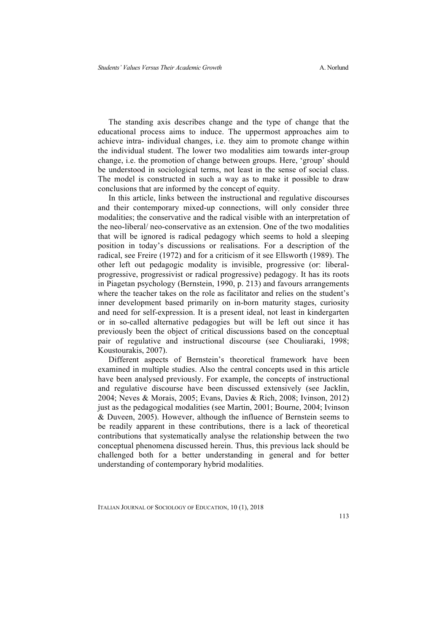The standing axis describes change and the type of change that the educational process aims to induce. The uppermost approaches aim to achieve intra- individual changes, i.e. they aim to promote change within the individual student. The lower two modalities aim towards inter-group change, i.e. the promotion of change between groups. Here, 'group' should be understood in sociological terms, not least in the sense of social class. The model is constructed in such a way as to make it possible to draw conclusions that are informed by the concept of equity.

In this article, links between the instructional and regulative discourses and their contemporary mixed-up connections, will only consider three modalities; the conservative and the radical visible with an interpretation of the neo-liberal/ neo-conservative as an extension. One of the two modalities that will be ignored is radical pedagogy which seems to hold a sleeping position in today's discussions or realisations. For a description of the radical, see Freire (1972) and for a criticism of it see Ellsworth (1989). The other left out pedagogic modality is invisible, progressive (or: liberalprogressive, progressivist or radical progressive) pedagogy. It has its roots in Piagetan psychology (Bernstein, 1990, p. 213) and favours arrangements where the teacher takes on the role as facilitator and relies on the student's inner development based primarily on in-born maturity stages, curiosity and need for self-expression. It is a present ideal, not least in kindergarten or in so-called alternative pedagogies but will be left out since it has previously been the object of critical discussions based on the conceptual pair of regulative and instructional discourse (see Chouliaraki, 1998; Koustourakis, 2007).

Different aspects of Bernstein's theoretical framework have been examined in multiple studies. Also the central concepts used in this article have been analysed previously. For example, the concepts of instructional and regulative discourse have been discussed extensively (see Jacklin, 2004; Neves & Morais, 2005; Evans, Davies & Rich, 2008; Ivinson, 2012) just as the pedagogical modalities (see Martin, 2001; Bourne, 2004; Ivinson & Duveen, 2005). However, although the influence of Bernstein seems to be readily apparent in these contributions, there is a lack of theoretical contributions that systematically analyse the relationship between the two conceptual phenomena discussed herein. Thus, this previous lack should be challenged both for a better understanding in general and for better understanding of contemporary hybrid modalities.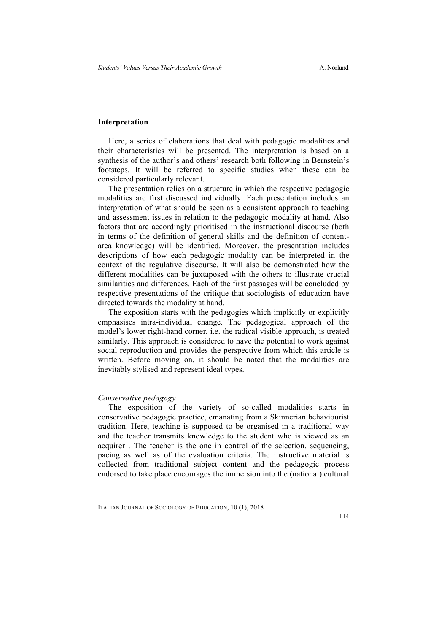#### **Interpretation**

Here, a series of elaborations that deal with pedagogic modalities and their characteristics will be presented. The interpretation is based on a synthesis of the author's and others' research both following in Bernstein's footsteps. It will be referred to specific studies when these can be considered particularly relevant.

The presentation relies on a structure in which the respective pedagogic modalities are first discussed individually. Each presentation includes an interpretation of what should be seen as a consistent approach to teaching and assessment issues in relation to the pedagogic modality at hand. Also factors that are accordingly prioritised in the instructional discourse (both in terms of the definition of general skills and the definition of contentarea knowledge) will be identified. Moreover, the presentation includes descriptions of how each pedagogic modality can be interpreted in the context of the regulative discourse. It will also be demonstrated how the different modalities can be juxtaposed with the others to illustrate crucial similarities and differences. Each of the first passages will be concluded by respective presentations of the critique that sociologists of education have directed towards the modality at hand.

The exposition starts with the pedagogies which implicitly or explicitly emphasises intra-individual change. The pedagogical approach of the model's lower right-hand corner, i.e. the radical visible approach, is treated similarly. This approach is considered to have the potential to work against social reproduction and provides the perspective from which this article is written. Before moving on, it should be noted that the modalities are inevitably stylised and represent ideal types.

#### *Conservative pedagogy*

The exposition of the variety of so-called modalities starts in conservative pedagogic practice, emanating from a Skinnerian behaviourist tradition. Here, teaching is supposed to be organised in a traditional way and the teacher transmits knowledge to the student who is viewed as an acquirer . The teacher is the one in control of the selection, sequencing, pacing as well as of the evaluation criteria. The instructive material is collected from traditional subject content and the pedagogic process endorsed to take place encourages the immersion into the (national) cultural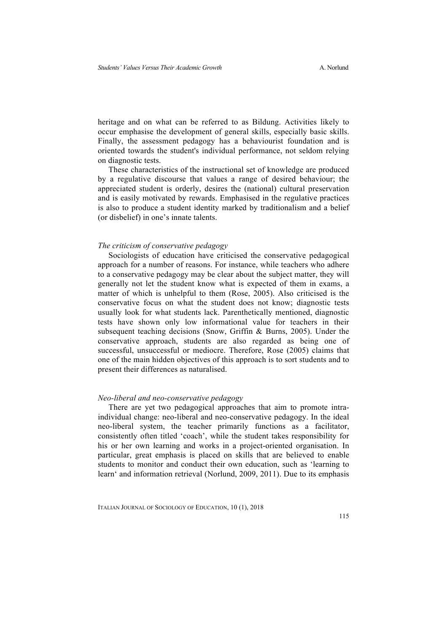heritage and on what can be referred to as Bildung. Activities likely to occur emphasise the development of general skills, especially basic skills. Finally, the assessment pedagogy has a behaviourist foundation and is oriented towards the student's individual performance, not seldom relying on diagnostic tests.

These characteristics of the instructional set of knowledge are produced by a regulative discourse that values a range of desired behaviour; the appreciated student is orderly, desires the (national) cultural preservation and is easily motivated by rewards. Emphasised in the regulative practices is also to produce a student identity marked by traditionalism and a belief (or disbelief) in one's innate talents.

#### *The criticism of conservative pedagogy*

Sociologists of education have criticised the conservative pedagogical approach for a number of reasons. For instance, while teachers who adhere to a conservative pedagogy may be clear about the subject matter, they will generally not let the student know what is expected of them in exams, a matter of which is unhelpful to them (Rose, 2005). Also criticised is the conservative focus on what the student does not know; diagnostic tests usually look for what students lack. Parenthetically mentioned, diagnostic tests have shown only low informational value for teachers in their subsequent teaching decisions (Snow, Griffin & Burns, 2005). Under the conservative approach, students are also regarded as being one of successful, unsuccessful or mediocre. Therefore, Rose (2005) claims that one of the main hidden objectives of this approach is to sort students and to present their differences as naturalised.

#### *Neo-liberal and neo-conservative pedagogy*

There are yet two pedagogical approaches that aim to promote intraindividual change: neo-liberal and neo-conservative pedagogy. In the ideal neo-liberal system, the teacher primarily functions as a facilitator, consistently often titled 'coach', while the student takes responsibility for his or her own learning and works in a project-oriented organisation. In particular, great emphasis is placed on skills that are believed to enable students to monitor and conduct their own education, such as 'learning to learn' and information retrieval (Norlund, 2009, 2011). Due to its emphasis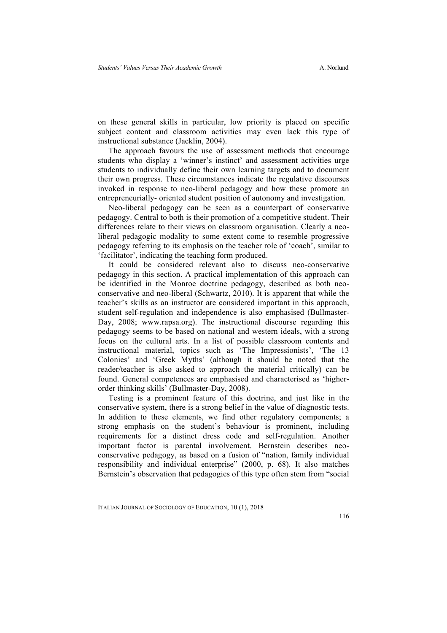on these general skills in particular, low priority is placed on specific subject content and classroom activities may even lack this type of instructional substance (Jacklin, 2004).

The approach favours the use of assessment methods that encourage students who display a 'winner's instinct' and assessment activities urge students to individually define their own learning targets and to document their own progress. These circumstances indicate the regulative discourses invoked in response to neo-liberal pedagogy and how these promote an entrepreneurially- oriented student position of autonomy and investigation.

Neo-liberal pedagogy can be seen as a counterpart of conservative pedagogy. Central to both is their promotion of a competitive student. Their differences relate to their views on classroom organisation. Clearly a neoliberal pedagogic modality to some extent come to resemble progressive pedagogy referring to its emphasis on the teacher role of 'coach', similar to 'facilitator', indicating the teaching form produced.

It could be considered relevant also to discuss neo-conservative pedagogy in this section. A practical implementation of this approach can be identified in the Monroe doctrine pedagogy, described as both neoconservative and neo-liberal (Schwartz, 2010). It is apparent that while the teacher's skills as an instructor are considered important in this approach, student self-regulation and independence is also emphasised (Bullmaster-Day, 2008; www.rapsa.org). The instructional discourse regarding this pedagogy seems to be based on national and western ideals, with a strong focus on the cultural arts. In a list of possible classroom contents and instructional material, topics such as 'The Impressionists', 'The 13 Colonies' and 'Greek Myths' (although it should be noted that the reader/teacher is also asked to approach the material critically) can be found. General competences are emphasised and characterised as 'higherorder thinking skills' (Bullmaster-Day, 2008).

Testing is a prominent feature of this doctrine, and just like in the conservative system, there is a strong belief in the value of diagnostic tests. In addition to these elements, we find other regulatory components; a strong emphasis on the student's behaviour is prominent, including requirements for a distinct dress code and self-regulation. Another important factor is parental involvement. Bernstein describes neoconservative pedagogy, as based on a fusion of "nation, family individual responsibility and individual enterprise" (2000, p. 68). It also matches Bernstein's observation that pedagogies of this type often stem from "social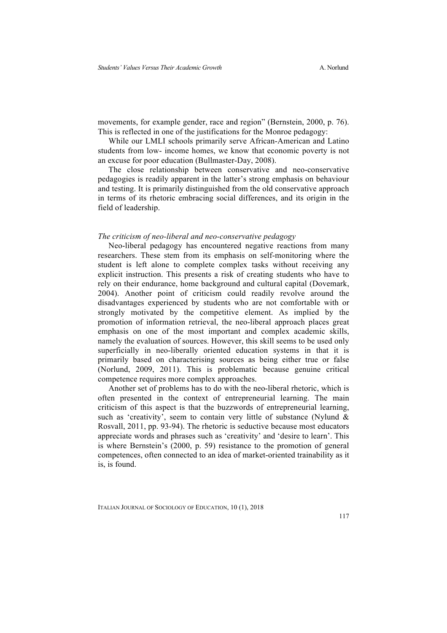movements, for example gender, race and region" (Bernstein, 2000, p. 76). This is reflected in one of the justifications for the Monroe pedagogy:

While our LMLI schools primarily serve African-American and Latino students from low- income homes, we know that economic poverty is not an excuse for poor education (Bullmaster-Day, 2008).

The close relationship between conservative and neo-conservative pedagogies is readily apparent in the latter's strong emphasis on behaviour and testing. It is primarily distinguished from the old conservative approach in terms of its rhetoric embracing social differences, and its origin in the field of leadership.

#### *The criticism of neo-liberal and neo-conservative pedagogy*

Neo-liberal pedagogy has encountered negative reactions from many researchers. These stem from its emphasis on self-monitoring where the student is left alone to complete complex tasks without receiving any explicit instruction. This presents a risk of creating students who have to rely on their endurance, home background and cultural capital (Dovemark, 2004). Another point of criticism could readily revolve around the disadvantages experienced by students who are not comfortable with or strongly motivated by the competitive element. As implied by the promotion of information retrieval, the neo-liberal approach places great emphasis on one of the most important and complex academic skills, namely the evaluation of sources. However, this skill seems to be used only superficially in neo-liberally oriented education systems in that it is primarily based on characterising sources as being either true or false (Norlund, 2009, 2011). This is problematic because genuine critical competence requires more complex approaches.

Another set of problems has to do with the neo-liberal rhetoric, which is often presented in the context of entrepreneurial learning. The main criticism of this aspect is that the buzzwords of entrepreneurial learning, such as 'creativity', seem to contain very little of substance (Nylund & Rosvall, 2011, pp. 93-94). The rhetoric is seductive because most educators appreciate words and phrases such as 'creativity' and 'desire to learn'. This is where Bernstein's (2000, p. 59) resistance to the promotion of general competences, often connected to an idea of market-oriented trainability as it is, is found.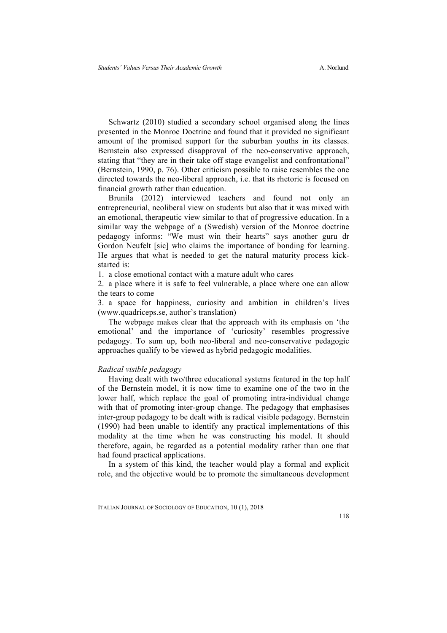Schwartz (2010) studied a secondary school organised along the lines presented in the Monroe Doctrine and found that it provided no significant amount of the promised support for the suburban youths in its classes. Bernstein also expressed disapproval of the neo-conservative approach, stating that "they are in their take off stage evangelist and confrontational" (Bernstein, 1990, p. 76). Other criticism possible to raise resembles the one directed towards the neo-liberal approach, i.e. that its rhetoric is focused on financial growth rather than education.

Brunila (2012) interviewed teachers and found not only an entrepreneurial, neoliberal view on students but also that it was mixed with an emotional, therapeutic view similar to that of progressive education. In a similar way the webpage of a (Swedish) version of the Monroe doctrine pedagogy informs: "We must win their hearts" says another guru dr Gordon Neufelt [sic] who claims the importance of bonding for learning. He argues that what is needed to get the natural maturity process kickstarted is:

1. a close emotional contact with a mature adult who cares

2. a place where it is safe to feel vulnerable, a place where one can allow the tears to come

3. a space for happiness, curiosity and ambition in children's lives (www.quadriceps.se, author's translation)

The webpage makes clear that the approach with its emphasis on 'the emotional' and the importance of 'curiosity' resembles progressive pedagogy. To sum up, both neo-liberal and neo-conservative pedagogic approaches qualify to be viewed as hybrid pedagogic modalities.

#### *Radical visible pedagogy*

Having dealt with two/three educational systems featured in the top half of the Bernstein model, it is now time to examine one of the two in the lower half, which replace the goal of promoting intra-individual change with that of promoting inter-group change. The pedagogy that emphasises inter-group pedagogy to be dealt with is radical visible pedagogy. Bernstein (1990) had been unable to identify any practical implementations of this modality at the time when he was constructing his model. It should therefore, again, be regarded as a potential modality rather than one that had found practical applications.

In a system of this kind, the teacher would play a formal and explicit role, and the objective would be to promote the simultaneous development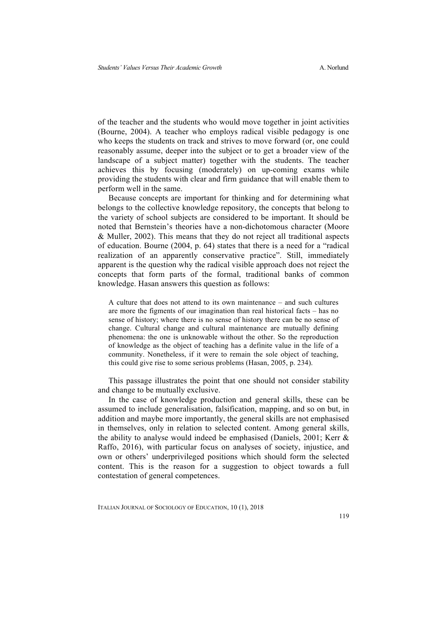of the teacher and the students who would move together in joint activities (Bourne, 2004). A teacher who employs radical visible pedagogy is one who keeps the students on track and strives to move forward (or, one could reasonably assume, deeper into the subject or to get a broader view of the landscape of a subject matter) together with the students. The teacher achieves this by focusing (moderately) on up-coming exams while providing the students with clear and firm guidance that will enable them to perform well in the same.

Because concepts are important for thinking and for determining what belongs to the collective knowledge repository, the concepts that belong to the variety of school subjects are considered to be important. It should be noted that Bernstein's theories have a non-dichotomous character (Moore & Muller, 2002). This means that they do not reject all traditional aspects of education. Bourne (2004, p. 64) states that there is a need for a "radical realization of an apparently conservative practice". Still, immediately apparent is the question why the radical visible approach does not reject the concepts that form parts of the formal, traditional banks of common knowledge. Hasan answers this question as follows:

A culture that does not attend to its own maintenance – and such cultures are more the figments of our imagination than real historical facts – has no sense of history; where there is no sense of history there can be no sense of change. Cultural change and cultural maintenance are mutually defining phenomena: the one is unknowable without the other. So the reproduction of knowledge as the object of teaching has a definite value in the life of a community. Nonetheless, if it were to remain the sole object of teaching, this could give rise to some serious problems (Hasan, 2005, p. 234).

This passage illustrates the point that one should not consider stability and change to be mutually exclusive.

In the case of knowledge production and general skills, these can be assumed to include generalisation, falsification, mapping, and so on but, in addition and maybe more importantly, the general skills are not emphasised in themselves, only in relation to selected content. Among general skills, the ability to analyse would indeed be emphasised (Daniels, 2001; Kerr & Raffo, 2016), with particular focus on analyses of society, injustice, and own or others' underprivileged positions which should form the selected content. This is the reason for a suggestion to object towards a full contestation of general competences.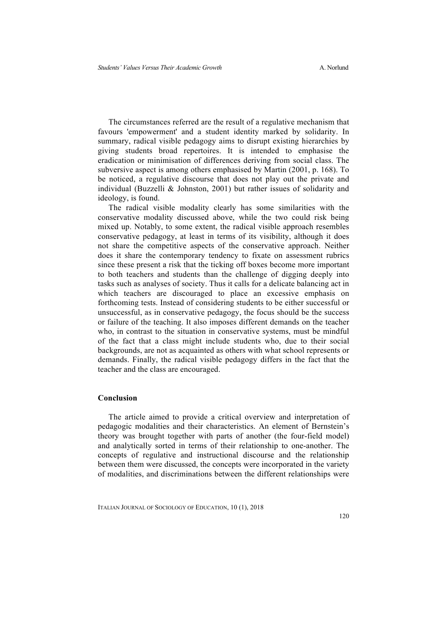The circumstances referred are the result of a regulative mechanism that favours 'empowerment' and a student identity marked by solidarity. In summary, radical visible pedagogy aims to disrupt existing hierarchies by giving students broad repertoires. It is intended to emphasise the eradication or minimisation of differences deriving from social class. The subversive aspect is among others emphasised by Martin (2001, p. 168). To be noticed, a regulative discourse that does not play out the private and individual (Buzzelli & Johnston, 2001) but rather issues of solidarity and ideology, is found.

The radical visible modality clearly has some similarities with the conservative modality discussed above, while the two could risk being mixed up. Notably, to some extent, the radical visible approach resembles conservative pedagogy, at least in terms of its visibility, although it does not share the competitive aspects of the conservative approach. Neither does it share the contemporary tendency to fixate on assessment rubrics since these present a risk that the ticking off boxes become more important to both teachers and students than the challenge of digging deeply into tasks such as analyses of society. Thus it calls for a delicate balancing act in which teachers are discouraged to place an excessive emphasis on forthcoming tests. Instead of considering students to be either successful or unsuccessful, as in conservative pedagogy, the focus should be the success or failure of the teaching. It also imposes different demands on the teacher who, in contrast to the situation in conservative systems, must be mindful of the fact that a class might include students who, due to their social backgrounds, are not as acquainted as others with what school represents or demands. Finally, the radical visible pedagogy differs in the fact that the teacher and the class are encouraged.

#### **Conclusion**

The article aimed to provide a critical overview and interpretation of pedagogic modalities and their characteristics. An element of Bernstein's theory was brought together with parts of another (the four-field model) and analytically sorted in terms of their relationship to one-another. The concepts of regulative and instructional discourse and the relationship between them were discussed, the concepts were incorporated in the variety of modalities, and discriminations between the different relationships were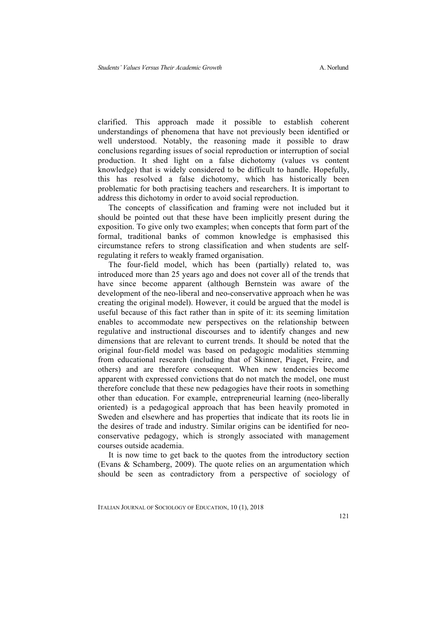clarified. This approach made it possible to establish coherent understandings of phenomena that have not previously been identified or well understood. Notably, the reasoning made it possible to draw conclusions regarding issues of social reproduction or interruption of social production. It shed light on a false dichotomy (values vs content knowledge) that is widely considered to be difficult to handle. Hopefully, this has resolved a false dichotomy, which has historically been problematic for both practising teachers and researchers. It is important to address this dichotomy in order to avoid social reproduction.

The concepts of classification and framing were not included but it should be pointed out that these have been implicitly present during the exposition. To give only two examples; when concepts that form part of the formal, traditional banks of common knowledge is emphasised this circumstance refers to strong classification and when students are selfregulating it refers to weakly framed organisation.

The four-field model, which has been (partially) related to, was introduced more than 25 years ago and does not cover all of the trends that have since become apparent (although Bernstein was aware of the development of the neo-liberal and neo-conservative approach when he was creating the original model). However, it could be argued that the model is useful because of this fact rather than in spite of it: its seeming limitation enables to accommodate new perspectives on the relationship between regulative and instructional discourses and to identify changes and new dimensions that are relevant to current trends. It should be noted that the original four-field model was based on pedagogic modalities stemming from educational research (including that of Skinner, Piaget, Freire, and others) and are therefore consequent. When new tendencies become apparent with expressed convictions that do not match the model, one must therefore conclude that these new pedagogies have their roots in something other than education. For example, entrepreneurial learning (neo-liberally oriented) is a pedagogical approach that has been heavily promoted in Sweden and elsewhere and has properties that indicate that its roots lie in the desires of trade and industry. Similar origins can be identified for neoconservative pedagogy, which is strongly associated with management courses outside academia.

It is now time to get back to the quotes from the introductory section (Evans & Schamberg, 2009). The quote relies on an argumentation which should be seen as contradictory from a perspective of sociology of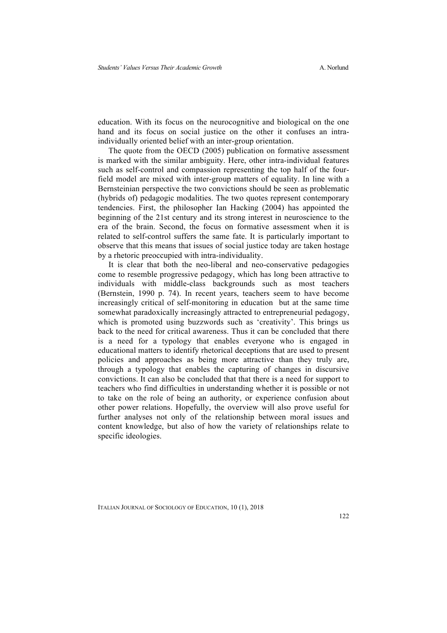education. With its focus on the neurocognitive and biological on the one hand and its focus on social justice on the other it confuses an intraindividually oriented belief with an inter-group orientation.

The quote from the OECD (2005) publication on formative assessment is marked with the similar ambiguity. Here, other intra-individual features such as self-control and compassion representing the top half of the fourfield model are mixed with inter-group matters of equality. In line with a Bernsteinian perspective the two convictions should be seen as problematic (hybrids of) pedagogic modalities. The two quotes represent contemporary tendencies. First, the philosopher Ian Hacking (2004) has appointed the beginning of the 21st century and its strong interest in neuroscience to the era of the brain. Second, the focus on formative assessment when it is related to self-control suffers the same fate. It is particularly important to observe that this means that issues of social justice today are taken hostage by a rhetoric preoccupied with intra-individuality.

It is clear that both the neo-liberal and neo-conservative pedagogies come to resemble progressive pedagogy, which has long been attractive to individuals with middle-class backgrounds such as most teachers (Bernstein, 1990 p. 74). In recent years, teachers seem to have become increasingly critical of self-monitoring in education but at the same time somewhat paradoxically increasingly attracted to entrepreneurial pedagogy, which is promoted using buzzwords such as 'creativity'. This brings us back to the need for critical awareness. Thus it can be concluded that there is a need for a typology that enables everyone who is engaged in educational matters to identify rhetorical deceptions that are used to present policies and approaches as being more attractive than they truly are, through a typology that enables the capturing of changes in discursive convictions. It can also be concluded that that there is a need for support to teachers who find difficulties in understanding whether it is possible or not to take on the role of being an authority, or experience confusion about other power relations. Hopefully, the overview will also prove useful for further analyses not only of the relationship between moral issues and content knowledge, but also of how the variety of relationships relate to specific ideologies.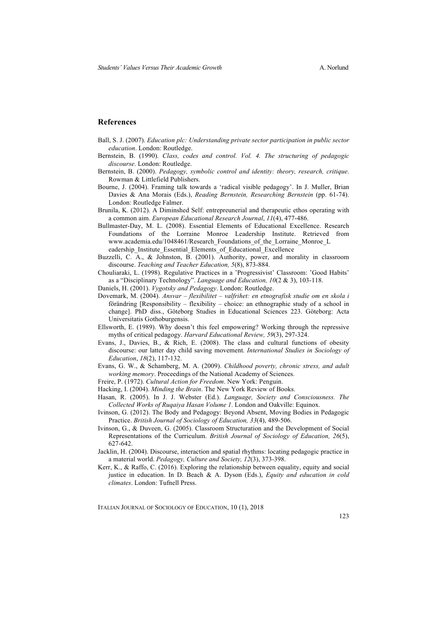#### **References**

- Ball, S. J. (2007). *Education plc: Understanding private sector participation in public sector education*. London: Routledge.
- Bernstein, B. (1990). *Class, codes and control. Vol. 4. The structuring of pedagogic discourse*. London: Routledge.
- Bernstein, B. (2000). *Pedagogy, symbolic control and identity: theory, research, critique*. Rowman & Littlefield Publishers.
- Bourne, J. (2004). Framing talk towards a 'radical visible pedagogy'. In J. Muller, Brian Davies & Ana Morais (Eds.), *Reading Bernstein, Researching Bernstein* (pp. 61-74). London: Routledge Falmer.
- Brunila, K. (2012). A Diminshed Self: entrepreunerial and therapeutic ethos operating with a common aim. *European Educational Research Journal*, *11*(4), 477-486.
- Bullmaster-Day, M. L. (2008). Essential Elements of Educational Excellence. Research Foundations of the Lorraine Monroe Leadership Institute. Retrieved from www.academia.edu/1048461/Research\_Foundations\_of\_the\_Lorraine\_Monroe\_L eadership\_Institute\_Essential\_Elements\_of\_Educational\_Excellence
- Buzzelli, C. A., & Johnston, B. (2001). Authority, power, and morality in classroom discourse. *Teaching and Teacher Education, 5*(8), 873-884.
- Chouliaraki, L. (1998). Regulative Practices in a 'Progressivist' Classroom: 'Good Habits' as a "Disciplinary Technology". *Language and Education, 10*(2 & 3), 103-118.
- Daniels, H. (2001). *Vygotsky and Pedagogy*. London: Routledge.
- Dovemark, M. (2004). *Ansvar – flexibilitet – valfrihet: en etnografisk studie om en skola i* förändring [Responsibility – flexibility – choice: an ethnographic study of a school in change]. PhD diss., Göteborg Studies in Educational Sciences 223. Göteborg: Acta Universitatis Gothoburgensis.
- Ellsworth, E. (1989). Why doesn't this feel empowering? Working through the repressive myths of critical pedagogy. *Harvard Educational Review, 59*(3), 297-324.
- Evans, J., Davies, B., & Rich, E. (2008). The class and cultural functions of obesity discourse: our latter day child saving movement. *International Studies in Sociology of Education*, *18*(2), 117-132.
- Evans, G. W., & Schamberg, M. A. (2009). *Childhood poverty, chronic stress, and adult working memory*. Proceedings of the National Academy of Sciences.
- Freire, P. (1972). *Cultural Action for Freedom*. New York: Penguin.
- Hacking, I. (2004). *Minding the Brain*. The New York Review of Books.
- Hasan, R. (2005). In J. J. Webster (Ed.). *Language, Society and Consciousness. The Collected Works of Ruqaiya Hasan Volume 1*. London and Oakville: Equinox.
- Ivinson, G. (2012). The Body and Pedagogy: Beyond Absent, Moving Bodies in Pedagogic Practice. *British Journal of Sociology of Education, 33*(4), 489-506.
- Ivinson, G., & Duveen, G. (2005). Classroom Structuration and the Development of Social Representations of the Curriculum. *British Journal of Sociology of Education, 26*(5), 627-642.
- Jacklin, H. (2004). Discourse, interaction and spatial rhythms: locating pedagogic practice in a material world. *Pedagogy, Culture and Society, 12*(3), 373-398.
- Kerr, K., & Raffo, C. (2016). Exploring the relationship between equality, equity and social justice in education. In D. Beach & A. Dyson (Eds.), *Equity and education in cold climates*. London: Tufnell Press.